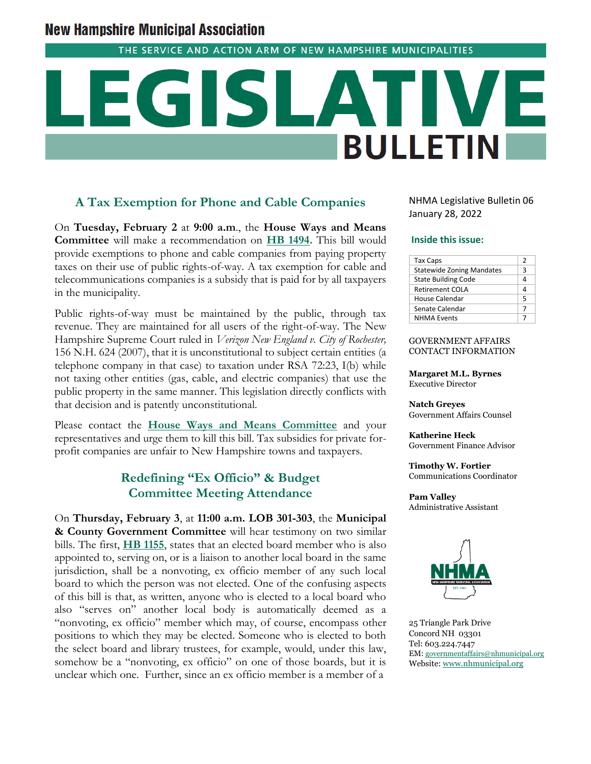# **New Hampshire Municipal Association**

THE SERVICE AND ACTION ARM OF NEW HAMPSHIRE MUNICIPALITIES

# **BULLETIN**

# **A Tax Exemption for Phone and Cable Companies**

On **Tuesday, February 2** at **9:00 a.m**., the **House Ways and Means Committee** will make a recommendation on **[HB 1494.](http://www.gencourt.state.nh.us/bill_status/pdf.aspx?id=28443&q=billVersion)** This bill would provide exemptions to phone and cable companies from paying property taxes on their use of public rights-of-way. A tax exemption for cable and telecommunications companies is a subsidy that is paid for by all taxpayers in the municipality.

Public rights-of-way must be maintained by the public, through tax revenue. They are maintained for all users of the right-of-way. The New Hampshire Supreme Court ruled in *Verizon New England v. City of Rochester,* 156 N.H. 624 (2007), that it is unconstitutional to subject certain entities (a telephone company in that case) to taxation under RSA 72:23, I(b) while not taxing other entities (gas, cable, and electric companies) that use the public property in the same manner. This legislation directly conflicts with that decision and is patently unconstitutional.

Please contact the **[House Ways and Means Committee](http://www.gencourt.state.nh.us/house/committees/committeedetails.aspx?id=19)** and your representatives and urge them to kill this bill. Tax subsidies for private forprofit companies are unfair to New Hampshire towns and taxpayers.

# **Redefining "Ex Officio" & Budget Committee Meeting Attendance**

On **Thursday, February 3**, at **11:00 a.m. LOB 301-303**, the **Municipal & County Government Committee** will hear testimony on two similar bills. The first, **[HB 1155](http://www.gencourt.state.nh.us/bill_status/pdf.aspx?id=27379&q=billVersion)**, states that an elected board member who is also appointed to, serving on, or is a liaison to another local board in the same jurisdiction, shall be a nonvoting, ex officio member of any such local board to which the person was not elected. One of the confusing aspects of this bill is that, as written, anyone who is elected to a local board who also "serves on" another local body is automatically deemed as a "nonvoting, ex officio" member which may, of course, encompass other positions to which they may be elected. Someone who is elected to both the select board and library trustees, for example, would, under this law, somehow be a "nonvoting, ex officio" on one of those boards, but it is unclear which one. Further, since an ex officio member is a member of a

NHMA Legislative Bulletin 06 January 28, 2022

### **Inside this issue:**

| <b>Tax Caps</b>                  | 2 |
|----------------------------------|---|
| <b>Statewide Zoning Mandates</b> | 3 |
| <b>State Building Code</b>       | 4 |
| Retirement COLA                  | Δ |
| House Calendar                   | 5 |
| Senate Calendar                  |   |
| <b>NHMA Events</b>               |   |

GOVERNMENT AFFAIRS CONTACT INFORMATION

**Margaret M.L. Byrnes** Executive Director

**Natch Greyes** Government Affairs Counsel

**Katherine Heck** Government Finance Advisor

**Timothy W. Fortier** Communications Coordinator

**Pam Valley** Administrative Assistant



25 Triangle Park Drive Concord NH 03301 Tel: 603.224.7447 EM: [governmentaffairs@nhmunicipal.org](mailto:governmentaffairs@nhmunicipal.org) Website: [www.nhmunicipal.org](http://www.nhmunicipal.org/)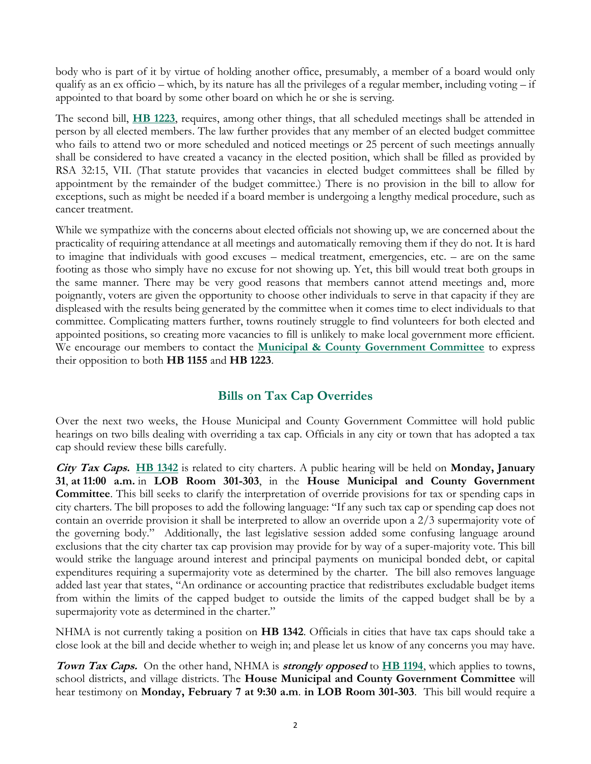body who is part of it by virtue of holding another office, presumably, a member of a board would only qualify as an ex officio – which, by its nature has all the privileges of a regular member, including voting – if appointed to that board by some other board on which he or she is serving.

The second bill, **[HB 1223](http://www.gencourt.state.nh.us/bill_Status/pdf.aspx?id=27659&q=billVersion)**, requires, among other things, that all scheduled meetings shall be attended in person by all elected members. The law further provides that any member of an elected budget committee who fails to attend two or more scheduled and noticed meetings or 25 percent of such meetings annually shall be considered to have created a vacancy in the elected position, which shall be filled as provided by RSA 32:15, VII. (That statute provides that vacancies in elected budget committees shall be filled by appointment by the remainder of the budget committee.) There is no provision in the bill to allow for exceptions, such as might be needed if a board member is undergoing a lengthy medical procedure, such as cancer treatment.

While we sympathize with the concerns about elected officials not showing up, we are concerned about the practicality of requiring attendance at all meetings and automatically removing them if they do not. It is hard to imagine that individuals with good excuses – medical treatment, emergencies, etc. – are on the same footing as those who simply have no excuse for not showing up. Yet, this bill would treat both groups in the same manner. There may be very good reasons that members cannot attend meetings and, more poignantly, voters are given the opportunity to choose other individuals to serve in that capacity if they are displeased with the results being generated by the committee when it comes time to elect individuals to that committee. Complicating matters further, towns routinely struggle to find volunteers for both elected and appointed positions, so creating more vacancies to fill is unlikely to make local government more efficient. We encourage our members to contact the **[Municipal & County Government Committee](http://www.gencourt.state.nh.us/house/committees/committeedetails.aspx?id=11)** to express their opposition to both **HB 1155** and **HB 1223**.

# **Bills on Tax Cap Overrides**

Over the next two weeks, the House Municipal and County Government Committee will hold public hearings on two bills dealing with overriding a tax cap. Officials in any city or town that has adopted a tax cap should review these bills carefully.

**City Tax Caps. [HB 1342](http://www.gencourt.state.nh.us/bill_status/pdf.aspx?id=27846&q=billVersion)** is related to city charters. A public hearing will be held on **Monday, January 31**, **at 11:00 a.m.** in **LOB Room 301-303**, in the **House Municipal and County Government Committee**. This bill seeks to clarify the interpretation of override provisions for tax or spending caps in city charters. The bill proposes to add the following language: "If any such tax cap or spending cap does not contain an override provision it shall be interpreted to allow an override upon a 2/3 supermajority vote of the governing body."Additionally, the last legislative session added some confusing language around exclusions that the city charter tax cap provision may provide for by way of a super-majority vote. This bill would strike the language around interest and principal payments on municipal bonded debt, or capital expenditures requiring a supermajority vote as determined by the charter. The bill also removes language added last year that states, "An ordinance or accounting practice that redistributes excludable budget items from within the limits of the capped budget to outside the limits of the capped budget shall be by a supermajority vote as determined in the charter."

NHMA is not currently taking a position on **HB 1342**. Officials in cities that have tax caps should take a close look at the bill and decide whether to weigh in; and please let us know of any concerns you may have.

**Town Tax Caps.** On the other hand, NHMA is **strongly opposed** to **[HB 1194](http://www.gencourt.state.nh.us/bill_status/pdf.aspx?id=27492&q=billVersion)**, which applies to towns, school districts, and village districts. The **House Municipal and County Government Committee** will hear testimony on **Monday, February 7 at 9:30 a.m**. **in LOB Room 301-303**. This bill would require a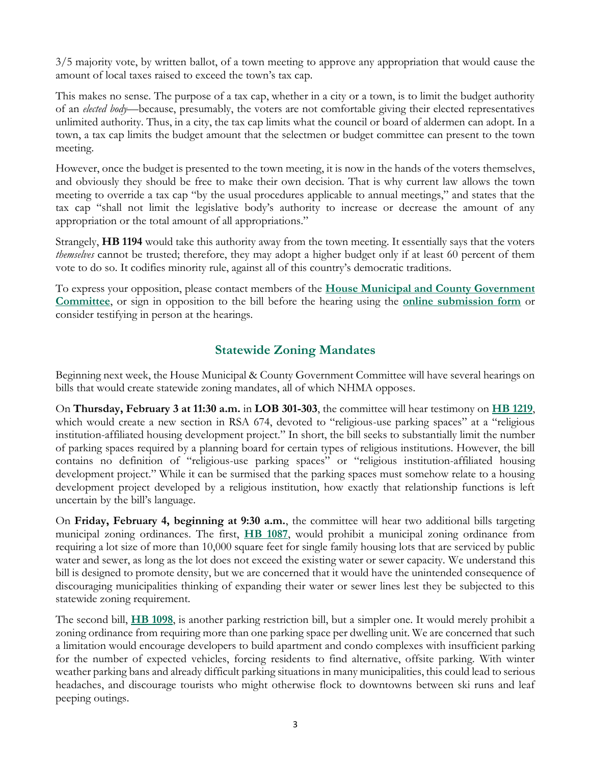3/5 majority vote, by written ballot, of a town meeting to approve any appropriation that would cause the amount of local taxes raised to exceed the town's tax cap.

This makes no sense. The purpose of a tax cap, whether in a city or a town, is to limit the budget authority of an *elected body*—because, presumably, the voters are not comfortable giving their elected representatives unlimited authority. Thus, in a city, the tax cap limits what the council or board of aldermen can adopt. In a town, a tax cap limits the budget amount that the selectmen or budget committee can present to the town meeting.

However, once the budget is presented to the town meeting, it is now in the hands of the voters themselves, and obviously they should be free to make their own decision. That is why current law allows the town meeting to override a tax cap "by the usual procedures applicable to annual meetings," and states that the tax cap "shall not limit the legislative body's authority to increase or decrease the amount of any appropriation or the total amount of all appropriations."

Strangely, **HB 1194** would take this authority away from the town meeting. It essentially says that the voters *themselves* cannot be trusted; therefore, they may adopt a higher budget only if at least 60 percent of them vote to do so. It codifies minority rule, against all of this country's democratic traditions.

To express your opposition, please contact members of the **[House Municipal and County Government](mailto:HouseMunicipalandCountyGovt@leg.state.nh.us)  [Committee](mailto:HouseMunicipalandCountyGovt@leg.state.nh.us)**, or sign in opposition to the bill before the hearing using the **[online submission form](http://www.gencourt.state.nh.us/house/committees/remotetestimony/default.aspx)** or consider testifying in person at the hearings.

# **Statewide Zoning Mandates**

Beginning next week, the House Municipal & County Government Committee will have several hearings on bills that would create statewide zoning mandates, all of which NHMA opposes.

On **Thursday, February 3 at 11:30 a.m.** in **LOB 301-303**, the committee will hear testimony on **[HB 1219](http://www.gencourt.state.nh.us/bill_Status/billinfo.aspx?id=1359)**, which would create a new section in RSA 674, devoted to "religious-use parking spaces" at a "religious institution-affiliated housing development project." In short, the bill seeks to substantially limit the number of parking spaces required by a planning board for certain types of religious institutions. However, the bill contains no definition of "religious-use parking spaces" or "religious institution-affiliated housing development project." While it can be surmised that the parking spaces must somehow relate to a housing development project developed by a religious institution, how exactly that relationship functions is left uncertain by the bill's language.

On **Friday, February 4, beginning at 9:30 a.m.**, the committee will hear two additional bills targeting municipal zoning ordinances. The first, **[HB 1087](http://www.gencourt.state.nh.us/bill_status/pdf.aspx?id=26119&q=billVersion)**, would prohibit a municipal zoning ordinance from requiring a lot size of more than 10,000 square feet for single family housing lots that are serviced by public water and sewer, as long as the lot does not exceed the existing water or sewer capacity. We understand this bill is designed to promote density, but we are concerned that it would have the unintended consequence of discouraging municipalities thinking of expanding their water or sewer lines lest they be subjected to this statewide zoning requirement.

The second bill, **[HB 1098](http://www.gencourt.state.nh.us/bill_status/pdf.aspx?id=27196&q=billVersion)**, is another parking restriction bill, but a simpler one. It would merely prohibit a zoning ordinance from requiring more than one parking space per dwelling unit. We are concerned that such a limitation would encourage developers to build apartment and condo complexes with insufficient parking for the number of expected vehicles, forcing residents to find alternative, offsite parking. With winter weather parking bans and already difficult parking situations in many municipalities, this could lead to serious headaches, and discourage tourists who might otherwise flock to downtowns between ski runs and leaf peeping outings.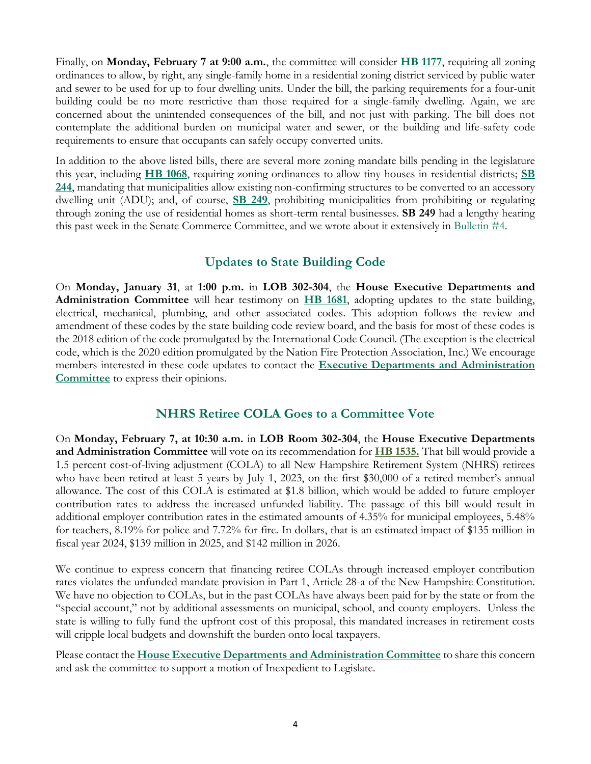Finally, on **Monday, February 7 at 9:00 a.m.**, the committee will consider **[HB 1177](http://www.gencourt.state.nh.us/bill_status/pdf.aspx?id=27448&q=billVersion)**, requiring all zoning ordinances to allow, by right, any single-family home in a residential zoning district serviced by public water and sewer to be used for up to four dwelling units. Under the bill, the parking requirements for a four-unit building could be no more restrictive than those required for a single-family dwelling. Again, we are concerned about the unintended consequences of the bill, and not just with parking. The bill does not contemplate the additional burden on municipal water and sewer, or the building and life-safety code requirements to ensure that occupants can safely occupy converted units.

In addition to the above listed bills, there are several more zoning mandate bills pending in the legislature this year, including **[HB 1068](http://www.gencourt.state.nh.us/bill_status/pdf.aspx?id=26092&q=billVersion)**, requiring zoning ordinances to allow tiny houses in residential districts; **[SB](http://www.gencourt.state.nh.us/bill_status/pdf.aspx?id=28957&q=billVersion)  [244](http://www.gencourt.state.nh.us/bill_status/pdf.aspx?id=28957&q=billVersion)**, mandating that municipalities allow existing non-confirming structures to be converted to an accessory dwelling unit (ADU); and, of course, **[SB 249](http://www.gencourt.state.nh.us/bill_status/pdf.aspx?id=29051&q=billVersion)**, prohibiting municipalities from prohibiting or regulating through zoning the use of residential homes as short-term rental businesses. **SB 249** had a lengthy hearing this past week in the Senate Commerce Committee, and we wrote about it extensively in [Bulletin #4.](https://www.nhmunicipal.org/legislative-bulletin/2022-nhma-legislative-bulletin-04#26351)

# **Updates to State Building Code**

On **Monday, January 31**, at **1:00 p.m.** in **LOB 302-304**, the **House Executive Departments and Administration Committee** will hear testimony on **[HB 1681](http://www.gencourt.state.nh.us/bill_Status/pdf.aspx?id=29924&q=billVersion)**, adopting updates to the state building, electrical, mechanical, plumbing, and other associated codes. This adoption follows the review and amendment of these codes by the state building code review board, and the basis for most of these codes is the 2018 edition of the code promulgated by the International Code Council. (The exception is the electrical code, which is the 2020 edition promulgated by the Nation Fire Protection Association, Inc.) We encourage members interested in these code updates to contact the **[Executive Departments and Administration](http://www.gencourt.state.nh.us/house/committees/committeedetails.aspx?id=3)  [Committee](http://www.gencourt.state.nh.us/house/committees/committeedetails.aspx?id=3)** to express their opinions.

## **NHRS Retiree COLA Goes to a Committee Vote**

On **Monday, February 7, at 10:30 a.m.** in **LOB Room 302-304**, the **House Executive Departments and Administration Committee** will vote on its recommendation for **[HB 1535.](http://www.gencourt.state.nh.us/bill_status/pdf.aspx?id=28756&q=billVersion)** That bill would provide a 1.5 percent cost-of-living adjustment (COLA) to all New Hampshire Retirement System (NHRS) retirees who have been retired at least 5 years by July 1, 2023, on the first \$30,000 of a retired member's annual allowance. The cost of this COLA is estimated at \$1.8 billion, which would be added to future employer contribution rates to address the increased unfunded liability. The passage of this bill would result in additional employer contribution rates in the estimated amounts of 4.35% for municipal employees, 5.48% for teachers, 8.19% for police and 7.72% for fire. In dollars, that is an estimated impact of \$135 million in fiscal year 2024, \$139 million in 2025, and \$142 million in 2026.

We continue to express concern that financing retiree COLAs through increased employer contribution rates violates the unfunded mandate provision in Part 1, Article 28-a of the New Hampshire Constitution. We have no objection to COLAs, but in the past COLAs have always been paid for by the state or from the "special account," not by additional assessments on municipal, school, and county employers. Unless the state is willing to fully fund the upfront cost of this proposal, this mandated increases in retirement costs will cripple local budgets and downshift the burden onto local taxpayers.

Please contact the **[House Executive Departments and Administration Committee](mailto:HouseExecutiveDepartmentsandAdministration@leg.state.nh.us)** to share this concern and ask the committee to support a motion of Inexpedient to Legislate.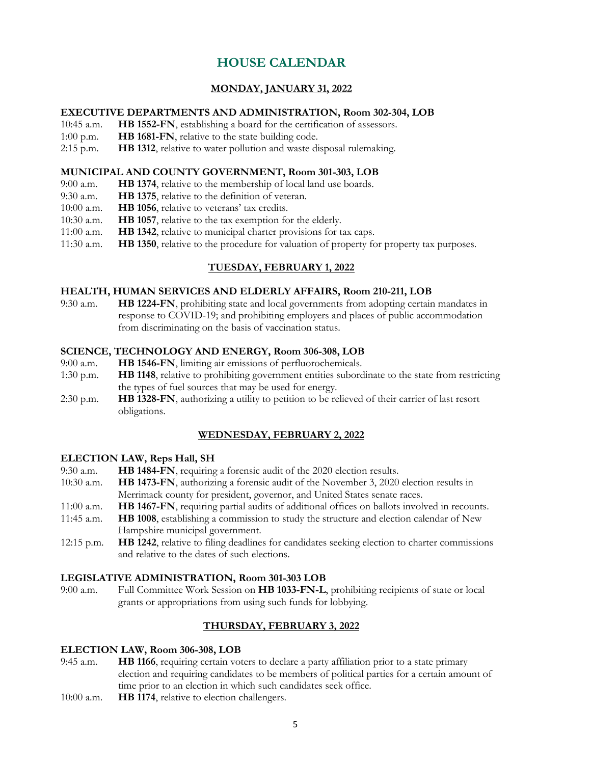# **HOUSE CALENDAR**

### **MONDAY, JANUARY 31, 2022**

### **EXECUTIVE DEPARTMENTS AND ADMINISTRATION, Room 302-304, LOB**

- 10:45 a.m. **HB 1552-FN**, establishing a board for the certification of assessors.
- 1:00 p.m. **HB 1681-FN**, relative to the state building code.
- 2:15 p.m. **HB 1312**, relative to water pollution and waste disposal rulemaking.

### **MUNICIPAL AND COUNTY GOVERNMENT, Room 301-303, LOB**

- 9:00 a.m. **HB 1374**, relative to the membership of local land use boards.
- 9:30 a.m. **HB 1375**, relative to the definition of veteran.
- 10:00 a.m. **HB 1056**, relative to veterans' tax credits.
- 10:30 a.m. **HB 1057**, relative to the tax exemption for the elderly.
- 11:00 a.m. **HB 1342**, relative to municipal charter provisions for tax caps.
- 11:30 a.m. **HB 1350**, relative to the procedure for valuation of property for property tax purposes.

### **TUESDAY, FEBRUARY 1, 2022**

### **HEALTH, HUMAN SERVICES AND ELDERLY AFFAIRS, Room 210-211, LOB**

9:30 a.m. **HB 1224-FN**, prohibiting state and local governments from adopting certain mandates in response to COVID-19; and prohibiting employers and places of public accommodation from discriminating on the basis of vaccination status.

### **SCIENCE, TECHNOLOGY AND ENERGY, Room 306-308, LOB**

- 9:00 a.m. **HB 1546-FN**, limiting air emissions of perfluorochemicals.
- 1:30 p.m. **HB 1148**, relative to prohibiting government entities subordinate to the state from restricting the types of fuel sources that may be used for energy.
- 2:30 p.m. **HB 1328-FN**, authorizing a utility to petition to be relieved of their carrier of last resort obligations.

### **WEDNESDAY, FEBRUARY 2, 2022**

### **ELECTION LAW, Reps Hall, SH**

- 9:30 a.m. **HB 1484-FN**, requiring a forensic audit of the 2020 election results.
- 10:30 a.m. **HB 1473-FN**, authorizing a forensic audit of the November 3, 2020 election results in Merrimack county for president, governor, and United States senate races.
- 11:00 a.m. **HB 1467-FN**, requiring partial audits of additional offices on ballots involved in recounts.
- 11:45 a.m. **HB 1008**, establishing a commission to study the structure and election calendar of New Hampshire municipal government.
- 12:15 p.m. **HB 1242**, relative to filing deadlines for candidates seeking election to charter commissions and relative to the dates of such elections.

### **LEGISLATIVE ADMINISTRATION, Room 301-303 LOB**

9:00 a.m. Full Committee Work Session on **HB 1033-FN-L**, prohibiting recipients of state or local grants or appropriations from using such funds for lobbying.

### **THURSDAY, FEBRUARY 3, 2022**

### **ELECTION LAW, Room 306-308, LOB**

- 9:45 a.m. **HB 1166**, requiring certain voters to declare a party affiliation prior to a state primary election and requiring candidates to be members of political parties for a certain amount of time prior to an election in which such candidates seek office.
- 10:00 a.m. **HB 1174**, relative to election challengers.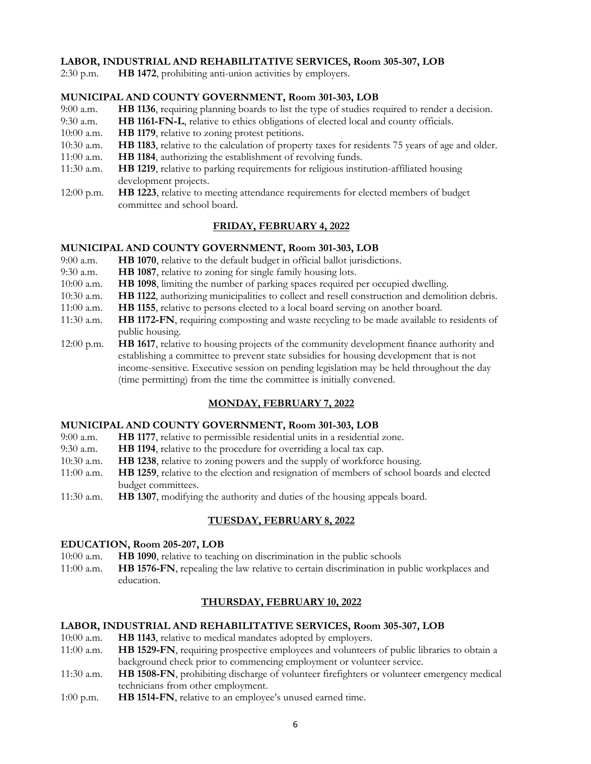### **LABOR, INDUSTRIAL AND REHABILITATIVE SERVICES, Room 305-307, LOB**

2:30 p.m. **HB 1472**, prohibiting anti-union activities by employers.

### **MUNICIPAL AND COUNTY GOVERNMENT, Room 301-303, LOB**

- 9:00 a.m. **HB 1136**, requiring planning boards to list the type of studies required to render a decision.
- 9:30 a.m. **HB 1161-FN-L**, relative to ethics obligations of elected local and county officials.
- 10:00 a.m. **HB 1179**, relative to zoning protest petitions.
- 10:30 a.m. **HB 1183**, relative to the calculation of property taxes for residents 75 years of age and older.
- 11:00 a.m. **HB 1184**, authorizing the establishment of revolving funds.
- 11:30 a.m. **HB 1219**, relative to parking requirements for religious institution-affiliated housing development projects.
- 12:00 p.m. **HB 1223**, relative to meeting attendance requirements for elected members of budget committee and school board.

### **FRIDAY, FEBRUARY 4, 2022**

### **MUNICIPAL AND COUNTY GOVERNMENT, Room 301-303, LOB**

- 9:00 a.m. **HB 1070**, relative to the default budget in official ballot jurisdictions.
- 9:30 a.m. **HB 1087**, relative to zoning for single family housing lots.
- 10:00 a.m. **HB 1098**, limiting the number of parking spaces required per occupied dwelling.
- 10:30 a.m. **HB 1122**, authorizing municipalities to collect and resell construction and demolition debris.
- 11:00 a.m. **HB 1155**, relative to persons elected to a local board serving on another board.
- 11:30 a.m. **HB 1172-FN**, requiring composting and waste recycling to be made available to residents of public housing.
- 12:00 p.m. **HB 1617**, relative to housing projects of the community development finance authority and establishing a committee to prevent state subsidies for housing development that is not income-sensitive. Executive session on pending legislation may be held throughout the day (time permitting) from the time the committee is initially convened.

### **MONDAY, FEBRUARY 7, 2022**

### **MUNICIPAL AND COUNTY GOVERNMENT, Room 301-303, LOB**

- 9:00 a.m. **HB 1177**, relative to permissible residential units in a residential zone.
- 9:30 a.m. **HB 1194**, relative to the procedure for overriding a local tax cap.
- 10:30 a.m. **HB 1238**, relative to zoning powers and the supply of workforce housing.
- 11:00 a.m. **HB 1259**, relative to the election and resignation of members of school boards and elected budget committees.
- 11:30 a.m. **HB 1307**, modifying the authority and duties of the housing appeals board.

### **TUESDAY, FEBRUARY 8, 2022**

### **EDUCATION, Room 205-207, LOB**

10:00 a.m. **HB 1090**, relative to teaching on discrimination in the public schools

11:00 a.m. **HB 1576-FN**, repealing the law relative to certain discrimination in public workplaces and education.

### **THURSDAY, FEBRUARY 10, 2022**

### **LABOR, INDUSTRIAL AND REHABILITATIVE SERVICES, Room 305-307, LOB**

- 10:00 a.m. **HB 1143**, relative to medical mandates adopted by employers.
- 11:00 a.m. **HB 1529-FN**, requiring prospective employees and volunteers of public libraries to obtain a background check prior to commencing employment or volunteer service.
- 11:30 a.m. **HB 1508-FN**, prohibiting discharge of volunteer firefighters or volunteer emergency medical technicians from other employment.
- 1:00 p.m. **HB 1514-FN**, relative to an employee's unused earned time.